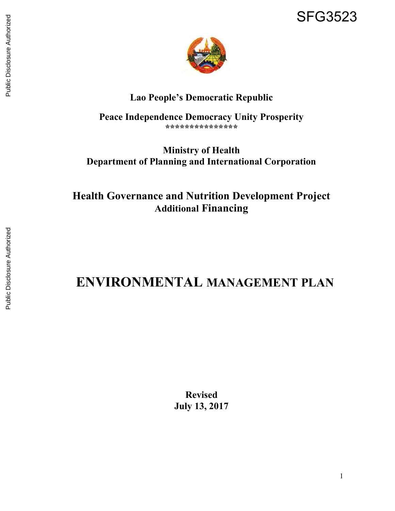

# Lao People's Democratic Republic

Peace Independence Democracy Unity Prosperity \*\*\*\*\*\*\*\*\*\*\*\*\*\*\*

# Ministry of Health Department of Planning and International Corporation

Health Governance and Nutrition Development Project Additional Financing

# ENVIRONMENTAL MANAGEMENT PLAN

Revised July 13, 2017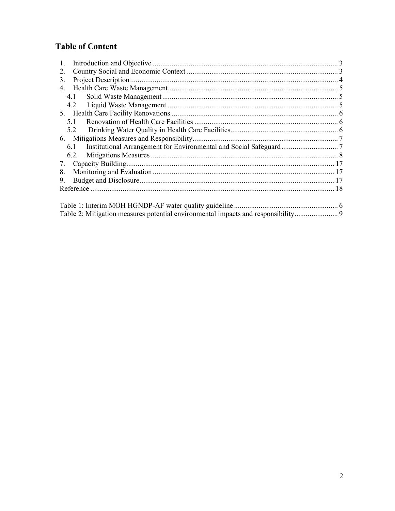# **Table of Content**

| 1.                                                                              |  |
|---------------------------------------------------------------------------------|--|
| 2.                                                                              |  |
| 3.                                                                              |  |
|                                                                                 |  |
| 4.1                                                                             |  |
| 4.2                                                                             |  |
|                                                                                 |  |
| 5.1                                                                             |  |
| 5.2                                                                             |  |
|                                                                                 |  |
| 6.1                                                                             |  |
| 6.2.                                                                            |  |
| 7.                                                                              |  |
| 8.                                                                              |  |
| 9.                                                                              |  |
|                                                                                 |  |
|                                                                                 |  |
|                                                                                 |  |
| Table 2: Mitigation measures potential environmental impacts and responsibility |  |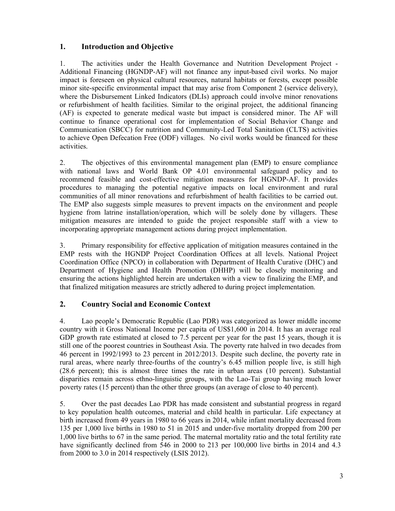#### 1. Introduction and Objective

1. The activities under the Health Governance and Nutrition Development Project - Additional Financing (HGNDP-AF) will not finance any input-based civil works. No major impact is foreseen on physical cultural resources, natural habitats or forests, except possible minor site-specific environmental impact that may arise from Component 2 (service delivery), where the Disbursement Linked Indicators (DLIs) approach could involve minor renovations or refurbishment of health facilities. Similar to the original project, the additional financing (AF) is expected to generate medical waste but impact is considered minor. The AF will continue to finance operational cost for implementation of Social Behavior Change and Communication (SBCC) for nutrition and Community-Led Total Sanitation (CLTS) activities to achieve Open Defecation Free (ODF) villages. No civil works would be financed for these activities.

2. The objectives of this environmental management plan (EMP) to ensure compliance with national laws and World Bank OP 4.01 environmental safeguard policy and to recommend feasible and cost-effective mitigation measures for HGNDP-AF. It provides procedures to managing the potential negative impacts on local environment and rural communities of all minor renovations and refurbishment of health facilities to be carried out. The EMP also suggests simple measures to prevent impacts on the environment and people hygiene from latrine installation/operation, which will be solely done by villagers. These mitigation measures are intended to guide the project responsible staff with a view to incorporating appropriate management actions during project implementation.

3. Primary responsibility for effective application of mitigation measures contained in the EMP rests with the HGNDP Project Coordination Offices at all levels. National Project Coordination Office (NPCO) in collaboration with Department of Health Curative (DHC) and Department of Hygiene and Health Promotion (DHHP) will be closely monitoring and ensuring the actions highlighted herein are undertaken with a view to finalizing the EMP, and that finalized mitigation measures are strictly adhered to during project implementation.

## 2. Country Social and Economic Context

4. Lao people's Democratic Republic (Lao PDR) was categorized as lower middle income country with it Gross National Income per capita of US\$1,600 in 2014. It has an average real GDP growth rate estimated at closed to 7.5 percent per year for the past 15 years, though it is still one of the poorest countries in Southeast Asia. The poverty rate halved in two decades from 46 percent in 1992/1993 to 23 percent in 2012/2013. Despite such decline, the poverty rate in rural areas, where nearly three-fourths of the country's 6.45 million people live, is still high (28.6 percent); this is almost three times the rate in urban areas (10 percent). Substantial disparities remain across ethno-linguistic groups, with the Lao-Tai group having much lower poverty rates (15 percent) than the other three groups (an average of close to 40 percent).

5. Over the past decades Lao PDR has made consistent and substantial progress in regard to key population health outcomes, material and child health in particular. Life expectancy at birth increased from 49 years in 1980 to 66 years in 2014, while infant mortality decreased from 135 per 1,000 live births in 1980 to 51 in 2015 and under-five mortality dropped from 200 per 1,000 live births to 67 in the same period. The maternal mortality ratio and the total fertility rate have significantly declined from 546 in 2000 to 213 per 100,000 live births in 2014 and 4.3 from 2000 to 3.0 in 2014 respectively (LSIS 2012).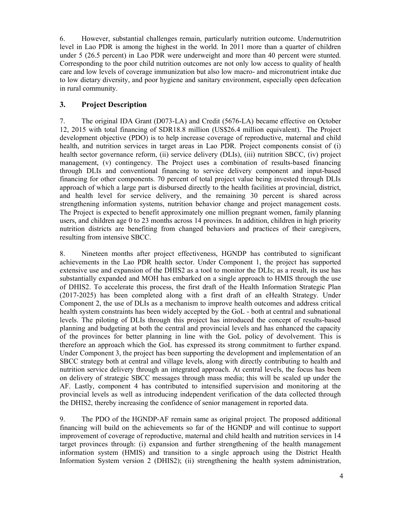6. However, substantial challenges remain, particularly nutrition outcome. Undernutrition level in Lao PDR is among the highest in the world. In 2011 more than a quarter of children under 5 (26.5 percent) in Lao PDR were underweight and more than 40 percent were stunted. Corresponding to the poor child nutrition outcomes are not only low access to quality of health care and low levels of coverage immunization but also low macro- and micronutrient intake due to low dietary diversity, and poor hygiene and sanitary environment, especially open defecation in rural community.

#### 3. Project Description

7. The original IDA Grant (D073-LA) and Credit (5676-LA) became effective on October 12, 2015 with total financing of SDR18.8 million (US\$26.4 million equivalent). The Project development objective (PDO) is to help increase coverage of reproductive, maternal and child health, and nutrition services in target areas in Lao PDR. Project components consist of (i) health sector governance reform, (ii) service delivery (DLIs), (iii) nutrition SBCC, (iv) project management, (v) contingency. The Project uses a combination of results-based financing through DLIs and conventional financing to service delivery component and input-based financing for other components. 70 percent of total project value being invested through DLIs approach of which a large part is disbursed directly to the health facilities at provincial, district, and health level for service delivery, and the remaining 30 percent is shared across strengthening information systems, nutrition behavior change and project management costs. The Project is expected to benefit approximately one million pregnant women, family planning users, and children age 0 to 23 months across 14 provinces. In addition, children in high priority nutrition districts are benefiting from changed behaviors and practices of their caregivers, resulting from intensive SBCC.

8. Nineteen months after project effectiveness, HGNDP has contributed to significant achievements in the Lao PDR health sector. Under Component 1, the project has supported extensive use and expansion of the DHIS2 as a tool to monitor the DLIs; as a result, its use has substantially expanded and MOH has embarked on a single approach to HMIS through the use of DHIS2. To accelerate this process, the first draft of the Health Information Strategic Plan (2017-2025) has been completed along with a first draft of an eHealth Strategy. Under Component 2, the use of DLIs as a mechanism to improve health outcomes and address critical health system constraints has been widely accepted by the GoL - both at central and subnational levels. The piloting of DLIs through this project has introduced the concept of results-based planning and budgeting at both the central and provincial levels and has enhanced the capacity of the provinces for better planning in line with the GoL policy of devolvement. This is therefore an approach which the GoL has expressed its strong commitment to further expand. Under Component 3, the project has been supporting the development and implementation of an SBCC strategy both at central and village levels, along with directly contributing to health and nutrition service delivery through an integrated approach. At central levels, the focus has been on delivery of strategic SBCC messages through mass media; this will be scaled up under the AF. Lastly, component 4 has contributed to intensified supervision and monitoring at the provincial levels as well as introducing independent verification of the data collected through the DHIS2, thereby increasing the confidence of senior management in reported data.

9. The PDO of the HGNDP-AF remain same as original project. The proposed additional financing will build on the achievements so far of the HGNDP and will continue to support improvement of coverage of reproductive, maternal and child health and nutrition services in 14 target provinces through: (i) expansion and further strengthening of the health management information system (HMIS) and transition to a single approach using the District Health Information System version 2 (DHIS2); (ii) strengthening the health system administration,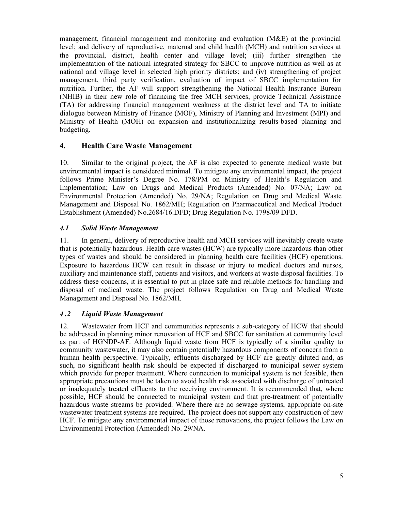management, financial management and monitoring and evaluation (M&E) at the provincial level; and delivery of reproductive, maternal and child health (MCH) and nutrition services at the provincial, district, health center and village level; (iii) further strengthen the implementation of the national integrated strategy for SBCC to improve nutrition as well as at national and village level in selected high priority districts; and (iv) strengthening of project management, third party verification, evaluation of impact of SBCC implementation for nutrition. Further, the AF will support strengthening the National Health Insurance Bureau (NHIB) in their new role of financing the free MCH services, provide Technical Assistance (TA) for addressing financial management weakness at the district level and TA to initiate dialogue between Ministry of Finance (MOF), Ministry of Planning and Investment (MPI) and Ministry of Health (MOH) on expansion and institutionalizing results-based planning and budgeting.

#### 4. Health Care Waste Management

10. Similar to the original project, the AF is also expected to generate medical waste but environmental impact is considered minimal. To mitigate any environmental impact, the project follows Prime Minister's Degree No. 178/PM on Ministry of Health's Regulation and Implementation; Law on Drugs and Medical Products (Amended) No. 07/NA; Law on Environmental Protection (Amended) No. 29/NA; Regulation on Drug and Medical Waste Management and Disposal No. 1862/MH; Regulation on Pharmaceutical and Medical Product Establishment (Amended) No.2684/16.DFD; Drug Regulation No. 1798/09 DFD.

#### 4.1 Solid Waste Management

11. In general, delivery of reproductive health and MCH services will inevitably create waste that is potentially hazardous. Health care wastes (HCW) are typically more hazardous than other types of wastes and should be considered in planning health care facilities (HCF) operations. Exposure to hazardous HCW can result in disease or injury to medical doctors and nurses, auxiliary and maintenance staff, patients and visitors, and workers at waste disposal facilities. To address these concerns, it is essential to put in place safe and reliable methods for handling and disposal of medical waste. The project follows Regulation on Drug and Medical Waste Management and Disposal No. 1862/MH.

#### 4 .2 Liquid Waste Management

12. Wastewater from HCF and communities represents a sub-category of HCW that should be addressed in planning minor renovation of HCF and SBCC for sanitation at community level as part of HGNDP-AF. Although liquid waste from HCF is typically of a similar quality to community wastewater, it may also contain potentially hazardous components of concern from a human health perspective. Typically, effluents discharged by HCF are greatly diluted and, as such, no significant health risk should be expected if discharged to municipal sewer system which provide for proper treatment. Where connection to municipal system is not feasible, then appropriate precautions must be taken to avoid health risk associated with discharge of untreated or inadequately treated effluents to the receiving environment. It is recommended that, where possible, HCF should be connected to municipal system and that pre-treatment of potentially hazardous waste streams be provided. Where there are no sewage systems, appropriate on-site wastewater treatment systems are required. The project does not support any construction of new HCF. To mitigate any environmental impact of those renovations, the project follows the Law on Environmental Protection (Amended) No. 29/NA.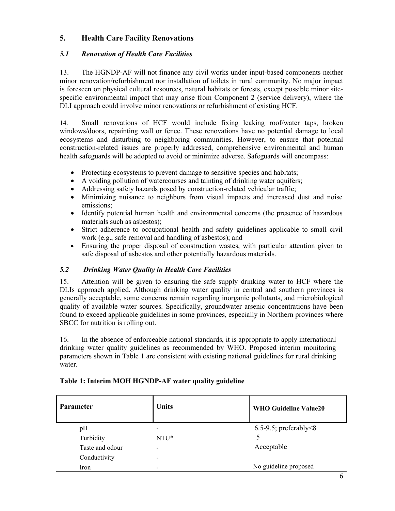# 5. Health Care Facility Renovations

#### 5.1 Renovation of Health Care Facilities

13. The HGNDP-AF will not finance any civil works under input-based components neither minor renovation/refurbishment nor installation of toilets in rural community. No major impact is foreseen on physical cultural resources, natural habitats or forests, except possible minor sitespecific environmental impact that may arise from Component 2 (service delivery), where the DLI approach could involve minor renovations or refurbishment of existing HCF.

14. Small renovations of HCF would include fixing leaking roof/water taps, broken windows/doors, repainting wall or fence. These renovations have no potential damage to local ecosystems and disturbing to neighboring communities. However, to ensure that potential construction-related issues are properly addressed, comprehensive environmental and human health safeguards will be adopted to avoid or minimize adverse. Safeguards will encompass:

- Protecting ecosystems to prevent damage to sensitive species and habitats;
- A voiding pollution of watercourses and tainting of drinking water aquifers;
- Addressing safety hazards posed by construction-related vehicular traffic;
- Minimizing nuisance to neighbors from visual impacts and increased dust and noise emissions;
- Identify potential human health and environmental concerns (the presence of hazardous materials such as asbestos);
- Strict adherence to occupational health and safety guidelines applicable to small civil work (e.g., safe removal and handling of asbestos); and
- Ensuring the proper disposal of construction wastes, with particular attention given to safe disposal of asbestos and other potentially hazardous materials.

## 5.2 Drinking Water Quality in Health Care Facilities

15. Attention will be given to ensuring the safe supply drinking water to HCF where the DLIs approach applied. Although drinking water quality in central and southern provinces is generally acceptable, some concerns remain regarding inorganic pollutants, and microbiological quality of available water sources. Specifically, groundwater arsenic concentrations have been found to exceed applicable guidelines in some provinces, especially in Northern provinces where SBCC for nutrition is rolling out.

16. In the absence of enforceable national standards, it is appropriate to apply international drinking water quality guidelines as recommended by WHO. Proposed interim monitoring parameters shown in Table 1 are consistent with existing national guidelines for rural drinking water.

| <b>Parameter</b> | <b>Units</b>             | <b>WHO Guideline Value20</b>    |
|------------------|--------------------------|---------------------------------|
| pH               | $\overline{\phantom{0}}$ | $6.5-9.5$ ; preferably $\leq 8$ |
| Turbidity        | NTU*                     |                                 |
| Taste and odour  | $\overline{\phantom{a}}$ | Acceptable                      |
| Conductivity     | -                        |                                 |
| Iron             | $\overline{\phantom{0}}$ | No guideline proposed           |

## Table 1: Interim MOH HGNDP-AF water quality guideline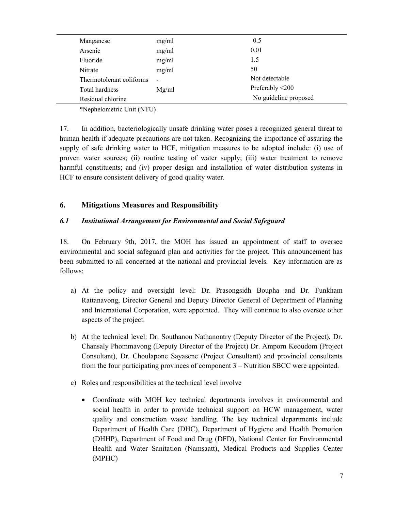| Manganese                | mg/ml                    | 0.5                   |
|--------------------------|--------------------------|-----------------------|
| Arsenic                  | mg/ml                    | 0.01                  |
| Fluoride                 | mg/ml                    | 1.5                   |
| Nitrate                  | mg/ml                    | 50                    |
| Thermotolerant coliforms | $\overline{\phantom{a}}$ | Not detectable        |
| Total hardness           | Mg/ml                    | Preferably <200       |
| Residual chlorine        |                          | No guideline proposed |

\*Nephelometric Unit (NTU)

17. In addition, bacteriologically unsafe drinking water poses a recognized general threat to human health if adequate precautions are not taken. Recognizing the importance of assuring the supply of safe drinking water to HCF, mitigation measures to be adopted include: (i) use of proven water sources; (ii) routine testing of water supply; (iii) water treatment to remove harmful constituents; and (iv) proper design and installation of water distribution systems in HCF to ensure consistent delivery of good quality water.

# 6. Mitigations Measures and Responsibility

#### 6.1 Institutional Arrangement for Environmental and Social Safeguard

18. On February 9th, 2017, the MOH has issued an appointment of staff to oversee environmental and social safeguard plan and activities for the project. This announcement has been submitted to all concerned at the national and provincial levels. Key information are as follows:

- a) At the policy and oversight level: Dr. Prasongsidh Boupha and Dr. Funkham Rattanavong, Director General and Deputy Director General of Department of Planning and International Corporation, were appointed. They will continue to also oversee other aspects of the project.
- b) At the technical level: Dr. Southanou Nathanontry (Deputy Director of the Project), Dr. Chansaly Phommavong (Deputy Director of the Project) Dr. Amporn Keoudom (Project Consultant), Dr. Choulapone Sayasene (Project Consultant) and provincial consultants from the four participating provinces of component 3 – Nutrition SBCC were appointed.
- c) Roles and responsibilities at the technical level involve
	- Coordinate with MOH key technical departments involves in environmental and social health in order to provide technical support on HCW management, water quality and construction waste handling. The key technical departments include Department of Health Care (DHC), Department of Hygiene and Health Promotion (DHHP), Department of Food and Drug (DFD), National Center for Environmental Health and Water Sanitation (Namsaatt), Medical Products and Supplies Center (MPHC)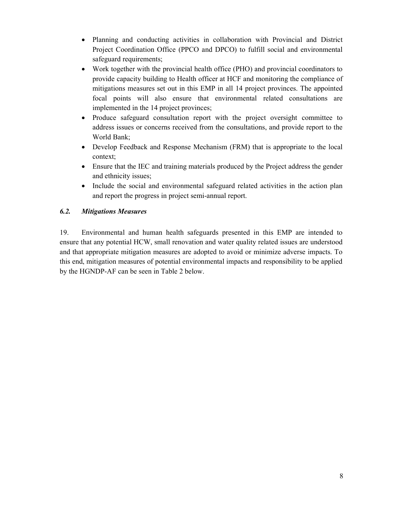- Planning and conducting activities in collaboration with Provincial and District Project Coordination Office (PPCO and DPCO) to fulfill social and environmental safeguard requirements;
- Work together with the provincial health office (PHO) and provincial coordinators to provide capacity building to Health officer at HCF and monitoring the compliance of mitigations measures set out in this EMP in all 14 project provinces. The appointed focal points will also ensure that environmental related consultations are implemented in the 14 project provinces;
- Produce safeguard consultation report with the project oversight committee to address issues or concerns received from the consultations, and provide report to the World Bank;
- Develop Feedback and Response Mechanism (FRM) that is appropriate to the local context;
- Ensure that the IEC and training materials produced by the Project address the gender and ethnicity issues;
- Include the social and environmental safeguard related activities in the action plan and report the progress in project semi-annual report.

## 6.2. Mitigations Measures

19. Environmental and human health safeguards presented in this EMP are intended to ensure that any potential HCW, small renovation and water quality related issues are understood and that appropriate mitigation measures are adopted to avoid or minimize adverse impacts. To this end, mitigation measures of potential environmental impacts and responsibility to be applied by the HGNDP-AF can be seen in Table 2 below.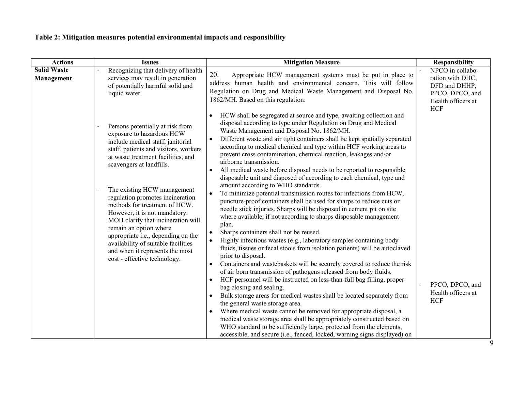# Table 2: Mitigation measures potential environmental impacts and responsibility

| <b>Actions</b>                   | <b>Issues</b>                                                                                                                                                                                                                                                                                                                                                                                                                                                                                                                                                      | <b>Mitigation Measure</b>                                                                                                                                                                                                                                                                                                                                                                                                                                                                                                                                                                                                                                                                                                                                                                                                                                                                                                                                                                                                                                                                                                                                                                                                                                                                                                                                                                                                                                                                                                                                                                                                                                                                                                                                                                                                                                         | <b>Responsibility</b>                                                                                        |
|----------------------------------|--------------------------------------------------------------------------------------------------------------------------------------------------------------------------------------------------------------------------------------------------------------------------------------------------------------------------------------------------------------------------------------------------------------------------------------------------------------------------------------------------------------------------------------------------------------------|-------------------------------------------------------------------------------------------------------------------------------------------------------------------------------------------------------------------------------------------------------------------------------------------------------------------------------------------------------------------------------------------------------------------------------------------------------------------------------------------------------------------------------------------------------------------------------------------------------------------------------------------------------------------------------------------------------------------------------------------------------------------------------------------------------------------------------------------------------------------------------------------------------------------------------------------------------------------------------------------------------------------------------------------------------------------------------------------------------------------------------------------------------------------------------------------------------------------------------------------------------------------------------------------------------------------------------------------------------------------------------------------------------------------------------------------------------------------------------------------------------------------------------------------------------------------------------------------------------------------------------------------------------------------------------------------------------------------------------------------------------------------------------------------------------------------------------------------------------------------|--------------------------------------------------------------------------------------------------------------|
| <b>Solid Waste</b><br>Management | Recognizing that delivery of health<br>services may result in generation<br>of potentially harmful solid and<br>liquid water.                                                                                                                                                                                                                                                                                                                                                                                                                                      | 20.<br>Appropriate HCW management systems must be put in place to<br>address human health and environmental concern. This will follow<br>Regulation on Drug and Medical Waste Management and Disposal No.<br>1862/MH. Based on this regulation:                                                                                                                                                                                                                                                                                                                                                                                                                                                                                                                                                                                                                                                                                                                                                                                                                                                                                                                                                                                                                                                                                                                                                                                                                                                                                                                                                                                                                                                                                                                                                                                                                   | NPCO in collabo-<br>ration with DHC,<br>DFD and DHHP,<br>PPCO, DPCO, and<br>Health officers at<br><b>HCF</b> |
|                                  | Persons potentially at risk from<br>exposure to hazardous HCW<br>include medical staff, janitorial<br>staff, patients and visitors, workers<br>at waste treatment facilities, and<br>scavengers at landfills.<br>The existing HCW management<br>regulation promotes incineration<br>methods for treatment of HCW.<br>However, it is not mandatory.<br>MOH clarify that incineration will<br>remain an option where<br>appropriate i.e., depending on the<br>availability of suitable facilities<br>and when it represents the most<br>cost - effective technology. | HCW shall be segregated at source and type, awaiting collection and<br>disposal according to type under Regulation on Drug and Medical<br>Waste Management and Disposal No. 1862/MH.<br>Different waste and air tight containers shall be kept spatially separated<br>$\bullet$<br>according to medical chemical and type within HCF working areas to<br>prevent cross contamination, chemical reaction, leakages and/or<br>airborne transmission.<br>All medical waste before disposal needs to be reported to responsible<br>$\bullet$<br>disposable unit and disposed of according to each chemical, type and<br>amount according to WHO standards.<br>To minimize potential transmission routes for infections from HCW,<br>puncture-proof containers shall be used for sharps to reduce cuts or<br>needle stick injuries. Sharps will be disposed in cement pit on site<br>where available, if not according to sharps disposable management<br>plan.<br>Sharps containers shall not be reused.<br>Highly infectious wastes (e.g., laboratory samples containing body<br>fluids, tissues or fecal stools from isolation patients) will be autoclaved<br>prior to disposal.<br>Containers and wastebaskets will be securely covered to reduce the risk<br>$\bullet$<br>of air born transmission of pathogens released from body fluids.<br>HCF personnel will be instructed on less-than-full bag filling, proper<br>bag closing and sealing.<br>Bulk storage areas for medical wastes shall be located separately from<br>the general waste storage area.<br>Where medical waste cannot be removed for appropriate disposal, a<br>medical waste storage area shall be appropriately constructed based on<br>WHO standard to be sufficiently large, protected from the elements,<br>accessible, and secure (i.e., fenced, locked, warning signs displayed) on | PPCO, DPCO, and<br>Health officers at<br><b>HCF</b>                                                          |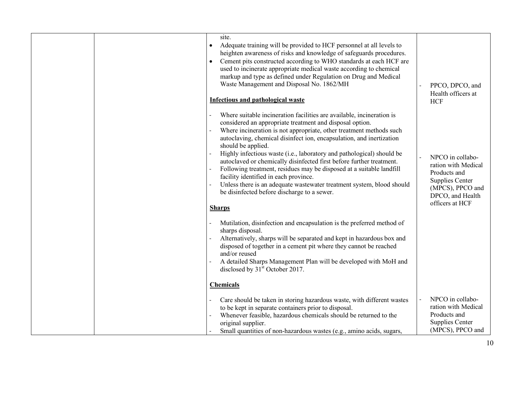| site.<br>Adequate training will be provided to HCF personnel at all levels to<br>heighten awareness of risks and knowledge of safeguards procedures.<br>Cement pits constructed according to WHO standards at each HCF are<br>used to incinerate appropriate medical waste according to chemical<br>markup and type as defined under Regulation on Drug and Medical<br>Waste Management and Disposal No. 1862/MH                                                                                                                                                                                                                                                                                 | PPCO, DPCO, and<br>Health officers at                                                                                                 |
|--------------------------------------------------------------------------------------------------------------------------------------------------------------------------------------------------------------------------------------------------------------------------------------------------------------------------------------------------------------------------------------------------------------------------------------------------------------------------------------------------------------------------------------------------------------------------------------------------------------------------------------------------------------------------------------------------|---------------------------------------------------------------------------------------------------------------------------------------|
| <b>Infectious and pathological waste</b>                                                                                                                                                                                                                                                                                                                                                                                                                                                                                                                                                                                                                                                         | <b>HCF</b>                                                                                                                            |
| Where suitable incineration facilities are available, incineration is<br>considered an appropriate treatment and disposal option.<br>Where incineration is not appropriate, other treatment methods such<br>autoclaving, chemical disinfect ion, encapsulation, and inertization<br>should be applied.<br>Highly infectious waste (i.e., laboratory and pathological) should be<br>autoclaved or chemically disinfected first before further treatment.<br>Following treatment, residues may be disposed at a suitable landfill<br>facility identified in each province.<br>Unless there is an adequate wastewater treatment system, blood should<br>be disinfected before discharge to a sewer. | NPCO in collabo-<br>ration with Medical<br>Products and<br>Supplies Center<br>(MPCS), PPCO and<br>DPCO, and Health<br>officers at HCF |
| <b>Sharps</b>                                                                                                                                                                                                                                                                                                                                                                                                                                                                                                                                                                                                                                                                                    |                                                                                                                                       |
| Mutilation, disinfection and encapsulation is the preferred method of<br>sharps disposal.<br>Alternatively, sharps will be separated and kept in hazardous box and<br>disposed of together in a cement pit where they cannot be reached<br>and/or reused<br>A detailed Sharps Management Plan will be developed with MoH and<br>disclosed by 31 <sup>st</sup> October 2017.                                                                                                                                                                                                                                                                                                                      |                                                                                                                                       |
| <b>Chemicals</b>                                                                                                                                                                                                                                                                                                                                                                                                                                                                                                                                                                                                                                                                                 |                                                                                                                                       |
| Care should be taken in storing hazardous waste, with different wastes<br>to be kept in separate containers prior to disposal.<br>Whenever feasible, hazardous chemicals should be returned to the<br>original supplier.<br>Small quantities of non-hazardous wastes (e.g., amino acids, sugars,                                                                                                                                                                                                                                                                                                                                                                                                 | NPCO in collabo-<br>ration with Medical<br>Products and<br>Supplies Center<br>(MPCS), PPCO and                                        |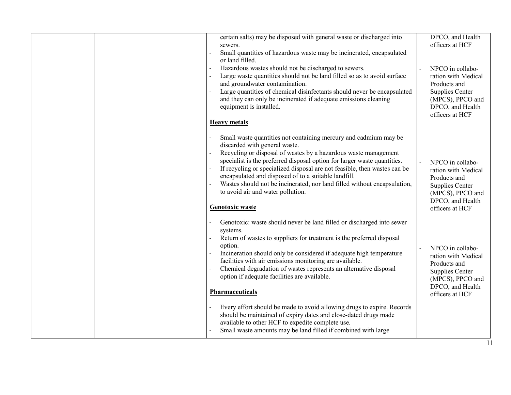| sewers.                                                                                                                                                                                                                                                                                                                                                                                                                                                                                                                                                                                                                                                                                                           | DPCO, and Health<br>officers at HCF                                                                                                          |
|-------------------------------------------------------------------------------------------------------------------------------------------------------------------------------------------------------------------------------------------------------------------------------------------------------------------------------------------------------------------------------------------------------------------------------------------------------------------------------------------------------------------------------------------------------------------------------------------------------------------------------------------------------------------------------------------------------------------|----------------------------------------------------------------------------------------------------------------------------------------------|
| Small quantities of hazardous waste may be incinerated, encapsulated<br>or land filled.                                                                                                                                                                                                                                                                                                                                                                                                                                                                                                                                                                                                                           |                                                                                                                                              |
| Hazardous wastes should not be discharged to sewers.<br>Large waste quantities should not be land filled so as to avoid surface<br>and groundwater contamination.<br>Large quantities of chemical disinfectants should never be encapsulated<br>and they can only be incinerated if adequate emissions cleaning<br>equipment is installed.<br><b>Heavy metals</b>                                                                                                                                                                                                                                                                                                                                                 | NPCO in collabo-<br>ration with Medical<br>Products and<br>Supplies Center<br>(MPCS), PPCO and<br>DPCO, and Health<br>officers at HCF        |
| Small waste quantities not containing mercury and cadmium may be<br>discarded with general waste.<br>Recycling or disposal of wastes by a hazardous waste management<br>specialist is the preferred disposal option for larger waste quantities.<br>If recycling or specialized disposal are not feasible, then wastes can be<br>encapsulated and disposed of to a suitable landfill.<br>Wastes should not be incinerated, nor land filled without encapsulation,<br>to avoid air and water pollution.<br><b>Genotoxic waste</b>                                                                                                                                                                                  | NPCO in collabo-<br>ration with Medical<br>Products and<br>Supplies Center<br>(MPCS), PPCO and<br>DPCO, and Health<br>officers at HCF        |
| Genotoxic: waste should never be land filled or discharged into sewer<br>systems.<br>Return of wastes to suppliers for treatment is the preferred disposal<br>option.<br>Incineration should only be considered if adequate high temperature<br>facilities with air emissions monitoring are available.<br>Chemical degradation of wastes represents an alternative disposal<br>option if adequate facilities are available.<br>Pharmaceuticals<br>Every effort should be made to avoid allowing drugs to expire. Records<br>should be maintained of expiry dates and close-dated drugs made<br>available to other HCF to expedite complete use.<br>Small waste amounts may be land filled if combined with large | NPCO in collabo-<br>ration with Medical<br>Products and<br><b>Supplies Center</b><br>(MPCS), PPCO and<br>DPCO, and Health<br>officers at HCF |
|                                                                                                                                                                                                                                                                                                                                                                                                                                                                                                                                                                                                                                                                                                                   |                                                                                                                                              |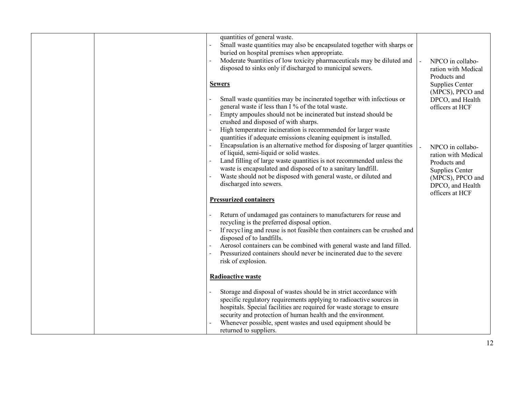| quantities of general waste.<br>Small waste quantities may also be encapsulated together with sharps or<br>buried on hospital premises when appropriate.<br>Moderate 9uantities of low toxicity pharmaceuticals may be diluted and<br>disposed to sinks only if discharged to municipal sewers.<br><b>Sewers</b><br>Small waste quantities may be incinerated together with infectious or<br>general waste if less than I % of the total waste.<br>Empty ampoules should not be incinerated but instead should be<br>crushed and disposed of with sharps.<br>High temperature incineration is recommended for larger waste<br>quantities if adequate emissions cleaning equipment is installed.<br>Encapsulation is an alternative method for disposing of larger quantities<br>of liquid, semi-liquid or solid wastes.<br>Land filling of large waste quantities is not recommended unless the<br>waste is encapsulated and disposed of to a sanitary landfill.<br>Waste should not be disposed with general waste, or diluted and<br>discharged into sewers. | NPCO in collabo-<br>ration with Medical<br>Products and<br>Supplies Center<br>(MPCS), PPCO and<br>DPCO, and Health<br>officers at HCF<br>NPCO in collabo-<br>ration with Medical<br>Products and<br>Supplies Center<br>(MPCS), PPCO and<br>DPCO, and Health |
|----------------------------------------------------------------------------------------------------------------------------------------------------------------------------------------------------------------------------------------------------------------------------------------------------------------------------------------------------------------------------------------------------------------------------------------------------------------------------------------------------------------------------------------------------------------------------------------------------------------------------------------------------------------------------------------------------------------------------------------------------------------------------------------------------------------------------------------------------------------------------------------------------------------------------------------------------------------------------------------------------------------------------------------------------------------|-------------------------------------------------------------------------------------------------------------------------------------------------------------------------------------------------------------------------------------------------------------|
| <b>Pressurized containers</b>                                                                                                                                                                                                                                                                                                                                                                                                                                                                                                                                                                                                                                                                                                                                                                                                                                                                                                                                                                                                                                  | officers at HCF                                                                                                                                                                                                                                             |
| Return of undamaged gas containers to manufacturers for reuse and<br>recycling is the preferred disposal option.<br>If recycling and reuse is not feasible then containers can be crushed and<br>disposed of to landfills.<br>Aerosol containers can be combined with general waste and land filled.<br>Pressurized containers should never be incinerated due to the severe<br>risk of explosion.                                                                                                                                                                                                                                                                                                                                                                                                                                                                                                                                                                                                                                                             |                                                                                                                                                                                                                                                             |
| <b>Radioactive waste</b>                                                                                                                                                                                                                                                                                                                                                                                                                                                                                                                                                                                                                                                                                                                                                                                                                                                                                                                                                                                                                                       |                                                                                                                                                                                                                                                             |
| Storage and disposal of wastes should be in strict accordance with<br>specific regulatory requirements applying to radioactive sources in<br>hospitals. Special facilities are required for waste storage to ensure<br>security and protection of human health and the environment.<br>Whenever possible, spent wastes and used equipment should be<br>returned to suppliers.                                                                                                                                                                                                                                                                                                                                                                                                                                                                                                                                                                                                                                                                                  |                                                                                                                                                                                                                                                             |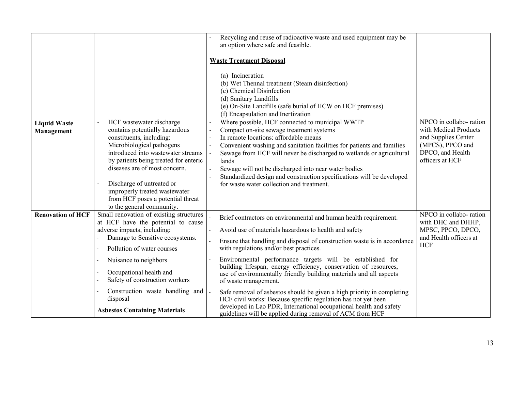|                                   |                                                                                                                                                                                                                                                                                                                                                                     | Recycling and reuse of radioactive waste and used equipment may be<br>an option where safe and feasible.                                                                                                                                                                                                                                                                                                                                                                                                                                                  |                                                                                                                                   |
|-----------------------------------|---------------------------------------------------------------------------------------------------------------------------------------------------------------------------------------------------------------------------------------------------------------------------------------------------------------------------------------------------------------------|-----------------------------------------------------------------------------------------------------------------------------------------------------------------------------------------------------------------------------------------------------------------------------------------------------------------------------------------------------------------------------------------------------------------------------------------------------------------------------------------------------------------------------------------------------------|-----------------------------------------------------------------------------------------------------------------------------------|
|                                   |                                                                                                                                                                                                                                                                                                                                                                     | <b>Waste Treatment Disposal</b>                                                                                                                                                                                                                                                                                                                                                                                                                                                                                                                           |                                                                                                                                   |
|                                   |                                                                                                                                                                                                                                                                                                                                                                     | (a) Incineration<br>(b) Wet Thennal treatment (Steam disinfection)<br>(c) Chemical Disinfection<br>(d) Sanitary Landfills<br>(e) On-Site Landfills (safe burial of HCW on HCF premises)<br>(f) Encapsulation and Inertization                                                                                                                                                                                                                                                                                                                             |                                                                                                                                   |
| <b>Liquid Waste</b><br>Management | HCF wastewater discharge<br>contains potentially hazardous<br>constituents, including:<br>Microbiological pathogens<br>introduced into wastewater streams<br>by patients being treated for enteric<br>diseases are of most concern.<br>Discharge of untreated or<br>improperly treated wastewater<br>from HCF poses a potential threat<br>to the general community. | Where possible, HCF connected to municipal WWTP<br>Compact on-site sewage treatment systems<br>In remote locations: affordable means<br>Convenient washing and sanitation facilities for patients and families<br>Sewage from HCF will never be discharged to wetlands or agricultural<br>lands<br>Sewage will not be discharged into near water bodies<br>Standardized design and construction specifications will be developed<br>for waste water collection and treatment.                                                                             | NPCO in collabo-ration<br>with Medical Products<br>and Supplies Center<br>(MPCS), PPCO and<br>DPCO, and Health<br>officers at HCF |
| <b>Renovation of HCF</b>          | Small renovation of existing structures<br>at HCF have the potential to cause<br>adverse impacts, including:<br>Damage to Sensitive ecosystems.<br>Pollution of water courses<br>Nuisance to neighbors<br>$\sim$<br>Occupational health and<br>Safety of construction workers<br>Construction waste handling and                                                    | Brief contractors on environmental and human health requirement.<br>Avoid use of materials hazardous to health and safety<br>Ensure that handling and disposal of construction waste is in accordance<br>with regulations and/or best practices.<br>Environmental performance targets will be established for<br>building lifespan, energy efficiency, conservation of resources,<br>use of environmentally friendly building materials and all aspects<br>of waste management.<br>Safe removal of asbestos should be given a high priority in completing | NPCO in collabo-ration<br>with DHC and DHHP,<br>MPSC, PPCO, DPCO,<br>and Health officers at<br><b>HCF</b>                         |
|                                   | disposal<br><b>Asbestos Containing Materials</b>                                                                                                                                                                                                                                                                                                                    | HCF civil works: Because specific regulation has not yet been<br>developed in Lao PDR, International occupational health and safety<br>guidelines will be applied during removal of ACM from HCF                                                                                                                                                                                                                                                                                                                                                          |                                                                                                                                   |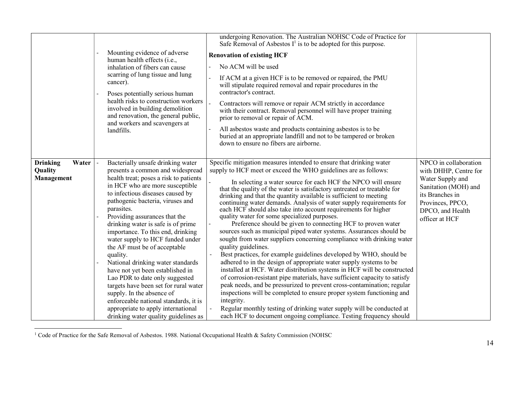|                                                   | Mounting evidence of adverse<br>human health effects (i.e.,<br>inhalation of fibers can cause<br>scarring of lung tissue and lung<br>cancer).<br>Poses potentially serious human<br>health risks to construction workers<br>involved in building demolition<br>and renovation, the general public,<br>and workers and scavengers at<br>landfills.                                                                                                                                                                                                                                                                                                                                                                                            | undergoing Renovation. The Australian NOHSC Code of Practice for<br>Safe Removal of Asbestos $I^1$ is to be adopted for this purpose.<br><b>Renovation of existing HCF</b><br>No ACM will be used<br>If ACM at a given HCF is to be removed or repaired, the PMU<br>will stipulate required removal and repair procedures in the<br>contractor's contract.<br>Contractors will remove or repair ACM strictly in accordance<br>with their contract. Removal personnel will have proper training<br>prior to removal or repair of ACM.<br>All asbestos waste and products containing asbestos is to be<br>buried at an appropriate landfill and not to be tampered or broken<br>down to ensure no fibers are airborne.                                                                                                                                                                                                                                                                                                                                                                                                                                                                                                                                                                                                                                                                                         |                                                                                                                                                                         |
|---------------------------------------------------|----------------------------------------------------------------------------------------------------------------------------------------------------------------------------------------------------------------------------------------------------------------------------------------------------------------------------------------------------------------------------------------------------------------------------------------------------------------------------------------------------------------------------------------------------------------------------------------------------------------------------------------------------------------------------------------------------------------------------------------------|--------------------------------------------------------------------------------------------------------------------------------------------------------------------------------------------------------------------------------------------------------------------------------------------------------------------------------------------------------------------------------------------------------------------------------------------------------------------------------------------------------------------------------------------------------------------------------------------------------------------------------------------------------------------------------------------------------------------------------------------------------------------------------------------------------------------------------------------------------------------------------------------------------------------------------------------------------------------------------------------------------------------------------------------------------------------------------------------------------------------------------------------------------------------------------------------------------------------------------------------------------------------------------------------------------------------------------------------------------------------------------------------------------------|-------------------------------------------------------------------------------------------------------------------------------------------------------------------------|
| <b>Drinking</b><br>Water<br>Quality<br>Management | Bacterially unsafe drinking water<br>presents a common and widespread<br>health treat; poses a risk to patients<br>in HCF who are more susceptible<br>to infectious diseases caused by<br>pathogenic bacteria, viruses and<br>parasites.<br>Providing assurances that the<br>drinking water is safe is of prime<br>importance. To this end, drinking<br>water supply to HCF funded under<br>the AF must be of acceptable<br>quality.<br>National drinking water standards<br>have not yet been established in<br>Lao PDR to date only suggested<br>targets have been set for rural water<br>supply. In the absence of<br>enforceable national standards, it is<br>appropriate to apply international<br>drinking water quality guidelines as | Specific mitigation measures intended to ensure that drinking water<br>supply to HCF meet or exceed the WHO guidelines are as follows:<br>In selecting a water source for each HCF the NPCO will ensure<br>that the quality of the water is satisfactory untreated or treatable for<br>drinking and that the quantity available is sufficient to meeting<br>continuing water demands. Analysis of water supply requirements for<br>each HCF should also take into account requirements for higher<br>quality water for some specialized purposes.<br>Preference should be given to connecting HCF to proven water<br>sources such as municipal piped water systems. Assurances should be<br>sought from water suppliers concerning compliance with drinking water<br>quality guidelines.<br>Best practices, for example guidelines developed by WHO, should be<br>adhered to in the design of appropriate water supply systems to be<br>installed at HCF. Water distribution systems in HCF will be constructed<br>of corrosion-resistant pipe materials, have sufficient capacity to satisfy<br>peak needs, and be pressurized to prevent cross-contamination; regular<br>inspections will be completed to ensure proper system functioning and<br>integrity.<br>Regular monthly testing of drinking water supply will be conducted at<br>each HCF to document ongoing compliance. Testing frequency should | NPCO in collaboration<br>with DHHP, Centre for<br>Water Supply and<br>Sanitation (MOH) and<br>its Branches in<br>Provinces, PPCO,<br>DPCO, and Health<br>officer at HCF |

<sup>1&</sup>lt;br>
<sup>1</sup> Code of Practice for the Safe Removal of Asbestos. 1988. National Occupational Health & Safety Commission (NOHSC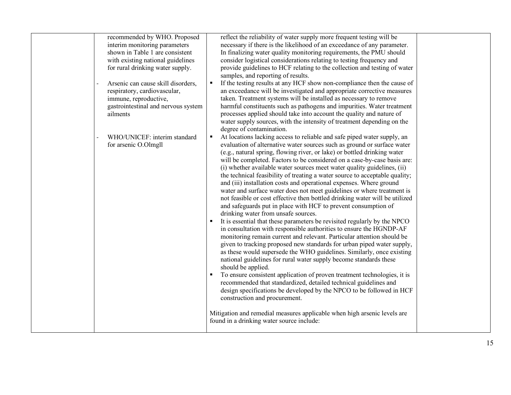| recommended by WHO. Proposed        | reflect the reliability of water supply more frequent testing will be         |  |
|-------------------------------------|-------------------------------------------------------------------------------|--|
| interim monitoring parameters       | necessary if there is the likelihood of an exceedance of any parameter.       |  |
| shown in Table 1 are consistent     | In finalizing water quality monitoring requirements, the PMU should           |  |
| with existing national guidelines   | consider logistical considerations relating to testing frequency and          |  |
| for rural drinking water supply.    | provide guidelines to HCF relating to the collection and testing of water     |  |
|                                     | samples, and reporting of results.                                            |  |
| Arsenic can cause skill disorders,  | If the testing results at any HCF show non-compliance then the cause of       |  |
| respiratory, cardiovascular,        | an exceedance will be investigated and appropriate corrective measures        |  |
| immune, reproductive,               | taken. Treatment systems will be installed as necessary to remove             |  |
| gastrointestinal and nervous system | harmful constituents such as pathogens and impurities. Water treatment        |  |
| ailments                            | processes applied should take into account the quality and nature of          |  |
|                                     | water supply sources, with the intensity of treatment depending on the        |  |
|                                     | degree of contamination.                                                      |  |
| WHO/UNICEF: interim standard        | At locations lacking access to reliable and safe piped water supply, an       |  |
| for arsenic O.Olmgll                | evaluation of alternative water sources such as ground or surface water       |  |
|                                     | (e.g., natural spring, flowing river, or lake) or bottled drinking water      |  |
|                                     | will be completed. Factors to be considered on a case-by-case basis are:      |  |
|                                     | (i) whether available water sources meet water quality guidelines, (ii)       |  |
|                                     | the technical feasibility of treating a water source to acceptable quality;   |  |
|                                     | and (iii) installation costs and operational expenses. Where ground           |  |
|                                     | water and surface water does not meet guidelines or where treatment is        |  |
|                                     | not feasible or cost effective then bottled drinking water will be utilized   |  |
|                                     | and safeguards put in place with HCF to prevent consumption of                |  |
|                                     | drinking water from unsafe sources.                                           |  |
|                                     | It is essential that these parameters be revisited regularly by the NPCO      |  |
|                                     | in consultation with responsible authorities to ensure the HGNDP-AF           |  |
|                                     | monitoring remain current and relevant. Particular attention should be        |  |
|                                     | given to tracking proposed new standards for urban piped water supply,        |  |
|                                     | as these would supersede the WHO guidelines. Similarly, once existing         |  |
|                                     | national guidelines for rural water supply become standards these             |  |
|                                     | should be applied.                                                            |  |
|                                     | To ensure consistent application of proven treatment technologies, it is<br>٠ |  |
|                                     | recommended that standardized, detailed technical guidelines and              |  |
|                                     | design specifications be developed by the NPCO to be followed in HCF          |  |
|                                     | construction and procurement.                                                 |  |
|                                     |                                                                               |  |
|                                     | Mitigation and remedial measures applicable when high arsenic levels are      |  |
|                                     | found in a drinking water source include:                                     |  |
|                                     |                                                                               |  |
|                                     |                                                                               |  |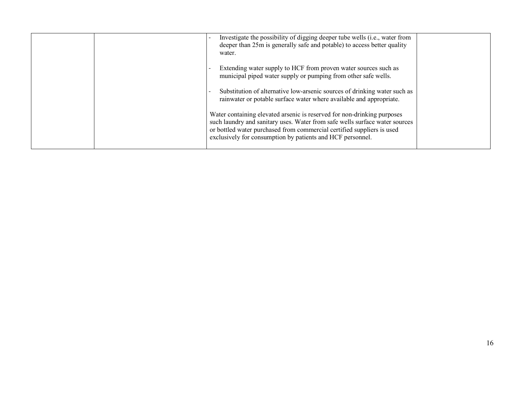| Investigate the possibility of digging deeper tube wells (i.e., water from<br>deeper than 25m is generally safe and potable) to access better quality<br>water.                                                                                                                                |  |
|------------------------------------------------------------------------------------------------------------------------------------------------------------------------------------------------------------------------------------------------------------------------------------------------|--|
| Extending water supply to HCF from proven water sources such as<br>municipal piped water supply or pumping from other safe wells.                                                                                                                                                              |  |
| Substitution of alternative low-arsenic sources of drinking water such as<br>rainwater or potable surface water where available and appropriate.                                                                                                                                               |  |
| Water containing elevated arsenic is reserved for non-drinking purposes<br>such laundry and sanitary uses. Water from safe wells surface water sources<br>or bottled water purchased from commercial certified suppliers is used<br>exclusively for consumption by patients and HCF personnel. |  |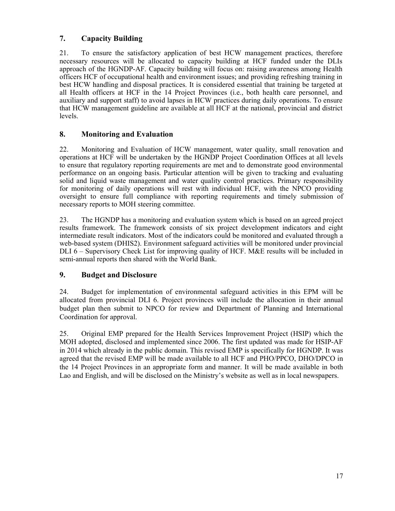# 7. Capacity Building

21. To ensure the satisfactory application of best HCW management practices, therefore necessary resources will be allocated to capacity building at HCF funded under the DLIs approach of the HGNDP-AF. Capacity building will focus on: raising awareness among Health officers HCF of occupational health and environment issues; and providing refreshing training in best HCW handling and disposal practices. It is considered essential that training be targeted at all Health officers at HCF in the 14 Project Provinces (i.e., both health care personnel, and auxiliary and support staff) to avoid lapses in HCW practices during daily operations. To ensure that HCW management guideline are available at all HCF at the national, provincial and district levels.

# 8. Monitoring and Evaluation

22. Monitoring and Evaluation of HCW management, water quality, small renovation and operations at HCF will be undertaken by the HGNDP Project Coordination Offices at all levels to ensure that regulatory reporting requirements are met and to demonstrate good environmental performance on an ongoing basis. Particular attention will be given to tracking and evaluating solid and liquid waste management and water quality control practices. Primary responsibility for monitoring of daily operations will rest with individual HCF, with the NPCO providing oversight to ensure full compliance with reporting requirements and timely submission of necessary reports to MOH steering committee.

23. The HGNDP has a monitoring and evaluation system which is based on an agreed project results framework. The framework consists of six project development indicators and eight intermediate result indicators. Most of the indicators could be monitored and evaluated through a web-based system (DHIS2). Environment safeguard activities will be monitored under provincial DLI 6 – Supervisory Check List for improving quality of HCF. M&E results will be included in semi-annual reports then shared with the World Bank.

## 9. Budget and Disclosure

24. Budget for implementation of environmental safeguard activities in this EPM will be allocated from provincial DLI 6. Project provinces will include the allocation in their annual budget plan then submit to NPCO for review and Department of Planning and International Coordination for approval.

25. Original EMP prepared for the Health Services Improvement Project (HSIP) which the MOH adopted, disclosed and implemented since 2006. The first updated was made for HSIP-AF in 2014 which already in the public domain. This revised EMP is specifically for HGNDP. It was agreed that the revised EMP will be made available to all HCF and PHO/PPCO, DHO/DPCO in the 14 Project Provinces in an appropriate form and manner. It will be made available in both Lao and English, and will be disclosed on the Ministry's website as well as in local newspapers.